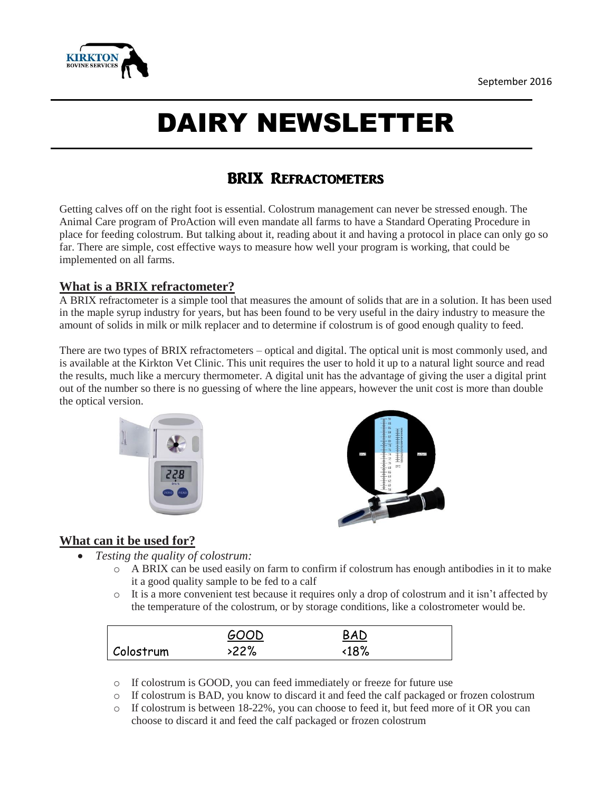

# DAIRY NEWSLETTER

## BRIX Refractometers

Getting calves off on the right foot is essential. Colostrum management can never be stressed enough. The Animal Care program of ProAction will even mandate all farms to have a Standard Operating Procedure in place for feeding colostrum. But talking about it, reading about it and having a protocol in place can only go so far. There are simple, cost effective ways to measure how well your program is working, that could be implemented on all farms.

#### **What is a BRIX refractometer?**

A BRIX refractometer is a simple tool that measures the amount of solids that are in a solution. It has been used in the maple syrup industry for years, but has been found to be very useful in the dairy industry to measure the amount of solids in milk or milk replacer and to determine if colostrum is of good enough quality to feed.

There are two types of BRIX refractometers – optical and digital. The optical unit is most commonly used, and is available at the Kirkton Vet Clinic. This unit requires the user to hold it up to a natural light source and read the results, much like a mercury thermometer. A digital unit has the advantage of giving the user a digital print out of the number so there is no guessing of where the line appears, however the unit cost is more than double the optical version.





### **What can it be used for?**

- *Testing the quality of colostrum:*
	- $\circ$  A BRIX can be used easily on farm to confirm if colostrum has enough antibodies in it to make it a good quality sample to be fed to a calf
	- o It is a more convenient test because it requires only a drop of colostrum and it isn't affected by the temperature of the colostrum, or by storage conditions, like a colostrometer would be.

|           | GOOD | BAD            |  |
|-----------|------|----------------|--|
| Colostrum | 22%  | $\langle 18\%$ |  |

- o If colostrum is GOOD, you can feed immediately or freeze for future use
- o If colostrum is BAD, you know to discard it and feed the calf packaged or frozen colostrum
- o If colostrum is between 18-22%, you can choose to feed it, but feed more of it OR you can choose to discard it and feed the calf packaged or frozen colostrum